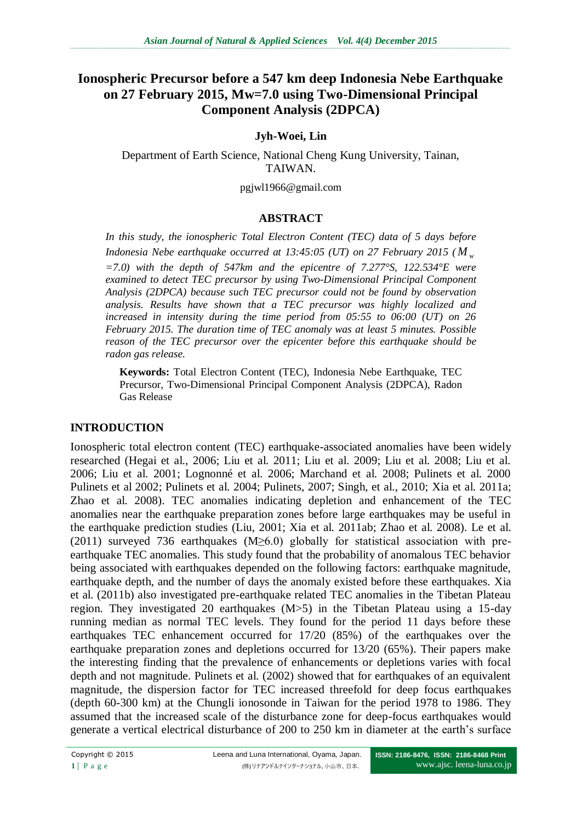# **Ionospheric Precursor before a 547 km deep Indonesia Nebe Earthquake on 27 February 2015, Mw=7.0 using Two-Dimensional Principal Component Analysis (2DPCA)**

## **Jyh-Woei, Lin**

Department of Earth Science, National Cheng Kung University, Tainan, TAIWAN.

pgjwl1966@gmail.com

### **ABSTRACT**

*In this study, the ionospheric Total Electron Content (TEC) data of 5 days before Indonesia Nebe earthquake occurred at 13:45:05 (UT) on 27 February 2015 ( M <sup>w</sup> =7.0) with the depth of 547km and the epicentre of 7.277°S, 122.534°E were examined to detect TEC precursor by using Two-Dimensional Principal Component Analysis (2DPCA) because such TEC precursor could not be found by observation analysis. Results have shown that a TEC precursor was highly localized and increased in intensity during the time period from 05:55 to 06:00 (UT) on 26 February 2015. The duration time of TEC anomaly was at least 5 minutes. Possible reason of the TEC precursor over the epicenter before this earthquake should be radon gas release.*

**Keywords:** Total Electron Content (TEC), Indonesia Nebe Earthquake, TEC Precursor, Two-Dimensional Principal Component Analysis (2DPCA), Radon Gas Release

### **INTRODUCTION**

Ionospheric total electron content (TEC) earthquake-associated anomalies have been widely researched (Hegai et al., 2006; Liu et al. 2011; Liu et al. 2009; Liu et al. 2008; Liu et al. 2006; Liu et al. 2001; Lognonné et al. 2006; Marchand et al. 2008; Pulinets et al. 2000 Pulinets et al 2002; Pulinets et al. 2004; Pulinets, 2007; Singh, et al., 2010; Xia et al. 2011a; Zhao et al. 2008). TEC anomalies indicating depletion and enhancement of the TEC anomalies near the earthquake preparation zones before large earthquakes may be useful in the earthquake prediction studies (Liu, 2001; Xia et al. 2011ab; Zhao et al. 2008). Le et al. (2011) surveyed 736 earthquakes (M≥6.0) globally for statistical association with preearthquake TEC anomalies. This study found that the probability of anomalous TEC behavior being associated with earthquakes depended on the following factors: earthquake magnitude, earthquake depth, and the number of days the anomaly existed before these earthquakes. Xia et al. (2011b) also investigated pre-earthquake related TEC anomalies in the Tibetan Plateau region. They investigated 20 earthquakes (M>5) in the Tibetan Plateau using a 15-day running median as normal TEC levels. They found for the period 11 days before these earthquakes TEC enhancement occurred for 17/20 (85%) of the earthquakes over the earthquake preparation zones and depletions occurred for 13/20 (65%). Their papers make the interesting finding that the prevalence of enhancements or depletions varies with focal depth and not magnitude. Pulinets et al. (2002) showed that for earthquakes of an equivalent magnitude, the dispersion factor for TEC increased threefold for deep focus earthquakes (depth 60-300 km) at the Chungli ionosonde in Taiwan for the period 1978 to 1986. They assumed that the increased scale of the disturbance zone for deep-focus earthquakes would generate a vertical electrical disturbance of 200 to 250 km in diameter at the earth's surface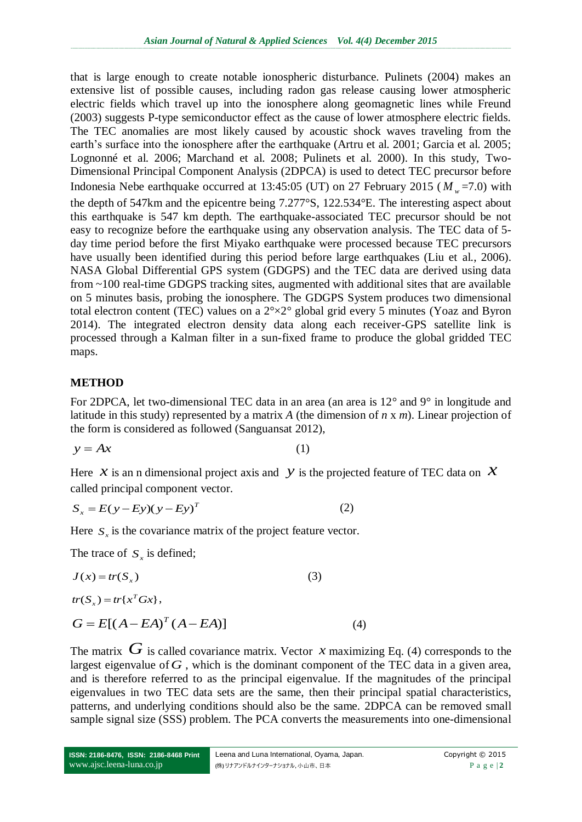that is large enough to create notable ionospheric disturbance. Pulinets (2004) makes an extensive list of possible causes, including radon gas release causing lower atmospheric electric fields which travel up into the ionosphere along geomagnetic lines while Freund (2003) suggests P-type semiconductor effect as the cause of lower atmosphere electric fields. The TEC anomalies are most likely caused by acoustic shock waves traveling from the earth's surface into the ionosphere after the earthquake (Artru et al. 2001; Garcia et al. 2005; Lognonné et al. 2006; Marchand et al. 2008; Pulinets et al. 2000). In this study, Two-Dimensional Principal Component Analysis (2DPCA) is used to detect TEC precursor before Indonesia Nebe earthquake occurred at 13:45:05 (UT) on 27 February 2015 ( $M<sub>w</sub>$  =7.0) with the depth of 547km and the epicentre being 7.277°S, 122.534°E. The interesting aspect about this earthquake is 547 km depth. The earthquake-associated TEC precursor should be not easy to recognize before the earthquake using any observation analysis. The TEC data of 5 day time period before the first Miyako earthquake were processed because TEC precursors have usually been identified during this period before large earthquakes (Liu et al., 2006). NASA Global Differential GPS system (GDGPS) and the TEC data are derived using data from ~100 real-time GDGPS tracking sites, augmented with additional sites that are available on 5 minutes basis, probing the ionosphere. The GDGPS System produces two dimensional total electron content (TEC) values on a 2°×2° global grid every 5 minutes (Yoaz and Byron 2014). The integrated electron density data along each receiver-GPS satellite link is processed through a Kalman filter in a sun-fixed frame to produce the global gridded TEC maps.

### **METHOD**

For 2DPCA, let two-dimensional TEC data in an area (an area is 12° and 9° in longitude and latitude in this study) represented by a matrix *A* (the dimension of *n* x *m*). Linear projection of the form is considered as followed (Sanguansat 2012),

$$
y = Ax \tag{1}
$$

Here  $\hat{x}$  is an n dimensional project axis and  $\hat{y}$  is the projected feature of TEC data on  $\hat{x}$ called principal component vector.

$$
S_x = E(y - Ey)(y - Ey)^T
$$
 (2)

Here  $S<sub>x</sub>$  is the covariance matrix of the project feature vector.

The trace of  $S_x$  is defined;

$$
J(x) = tr(S_x)
$$
\n
$$
tr(S_x) = tr\{x^T Gx\},
$$
\n
$$
G = E[(A - EA)^T (A - EA)]
$$
\n(4)

The matrix  $G$  is called covariance matrix. Vector x maximizing Eq. (4) corresponds to the largest eigenvalue of  $G$ , which is the dominant component of the TEC data in a given area, and is therefore referred to as the principal eigenvalue. If the magnitudes of the principal eigenvalues in two TEC data sets are the same, then their principal spatial characteristics, patterns, and underlying conditions should also be the same. 2DPCA can be removed small sample signal size (SSS) problem. The PCA converts the measurements into one-dimensional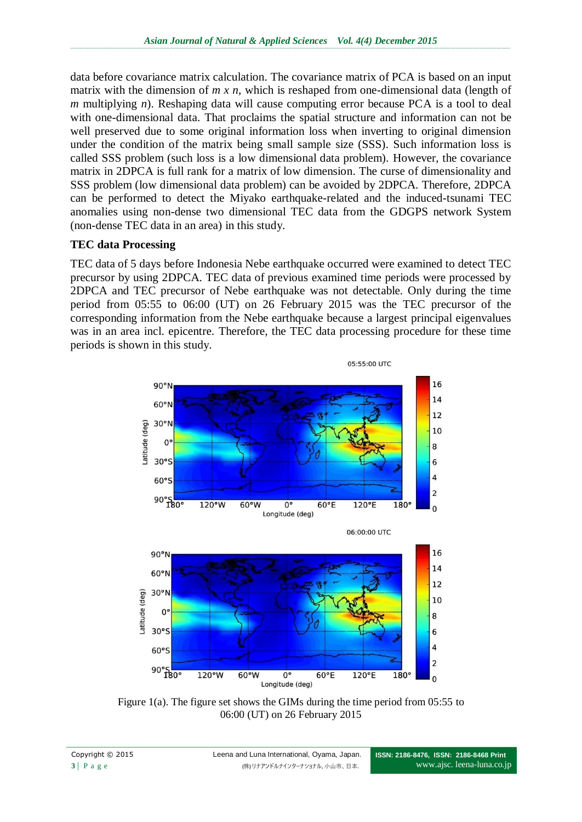data before covariance matrix calculation. The covariance matrix of PCA is based on an input matrix with the dimension of *m x n*, which is reshaped from one-dimensional data (length of *m* multiplying *n*). Reshaping data will cause computing error because PCA is a tool to deal with one-dimensional data. That proclaims the spatial structure and information can not be well preserved due to some original information loss when inverting to original dimension under the condition of the matrix being small sample size (SSS). Such information loss is called SSS problem (such loss is a low dimensional data problem). However, the covariance matrix in 2DPCA is full rank for a matrix of low dimension. The curse of dimensionality and SSS problem (low dimensional data problem) can be avoided by 2DPCA. Therefore, 2DPCA can be performed to detect the Miyako earthquake-related and the induced-tsunami TEC anomalies using non-dense two dimensional TEC data from the GDGPS network System (non-dense TEC data in an area) in this study.

### **TEC data Processing**

TEC data of 5 days before Indonesia Nebe earthquake occurred were examined to detect TEC precursor by using 2DPCA. TEC data of previous examined time periods were processed by 2DPCA and TEC precursor of Nebe earthquake was not detectable. Only during the time period from 05:55 to 06:00 (UT) on 26 February 2015 was the TEC precursor of the corresponding information from the Nebe earthquake because a largest principal eigenvalues was in an area incl. epicentre. Therefore, the TEC data processing procedure for these time periods is shown in this study.



Figure 1(a). The figure set shows the GIMs during the time period from 05:55 to 06:00 (UT) on 26 February 2015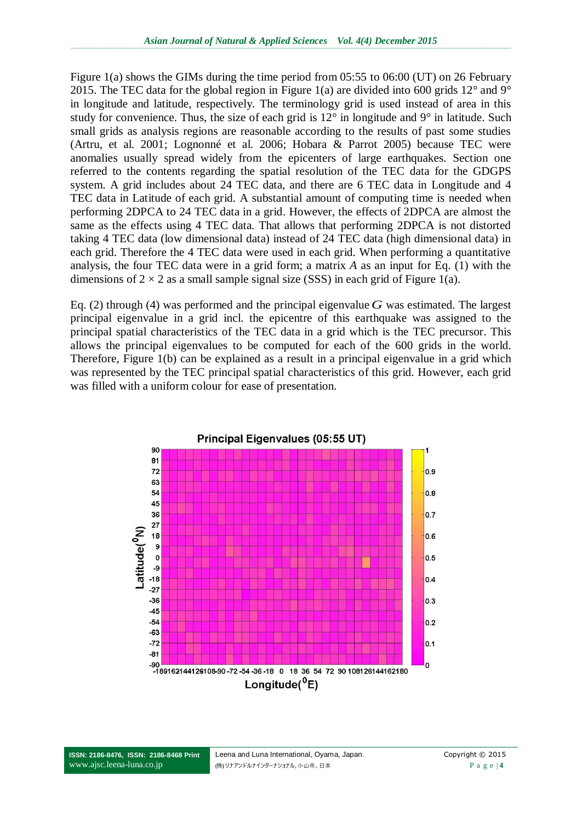Figure 1(a) shows the GIMs during the time period from 05:55 to 06:00 (UT) on 26 February 2015. The TEC data for the global region in Figure 1(a) are divided into 600 grids  $12^{\circ}$  and  $9^{\circ}$ in longitude and latitude, respectively. The terminology grid is used instead of area in this study for convenience. Thus, the size of each grid is  $12^{\circ}$  in longitude and  $9^{\circ}$  in latitude. Such small grids as analysis regions are reasonable according to the results of past some studies (Artru, et al. 2001; Lognonné et al. 2006; Hobara & Parrot 2005) because TEC were anomalies usually spread widely from the epicenters of large earthquakes. Section one referred to the contents regarding the spatial resolution of the TEC data for the GDGPS system. A grid includes about 24 TEC data, and there are 6 TEC data in Longitude and 4 TEC data in Latitude of each grid. A substantial amount of computing time is needed when performing 2DPCA to 24 TEC data in a grid. However, the effects of 2DPCA are almost the same as the effects using 4 TEC data. That allows that performing 2DPCA is not distorted taking 4 TEC data (low dimensional data) instead of 24 TEC data (high dimensional data) in each grid. Therefore the 4 TEC data were used in each grid. When performing a quantitative analysis, the four TEC data were in a grid form; a matrix *A* as an input for Eq. (1) with the dimensions of  $2 \times 2$  as a small sample signal size (SSS) in each grid of Figure 1(a).

Eq. (2) through (4) was performed and the principal eigenvalue  $G$  was estimated. The largest principal eigenvalue in a grid incl. the epicentre of this earthquake was assigned to the principal spatial characteristics of the TEC data in a grid which is the TEC precursor. This allows the principal eigenvalues to be computed for each of the 600 grids in the world. Therefore, Figure 1(b) can be explained as a result in a principal eigenvalue in a grid which was represented by the TEC principal spatial characteristics of this grid. However, each grid was filled with a uniform colour for ease of presentation.

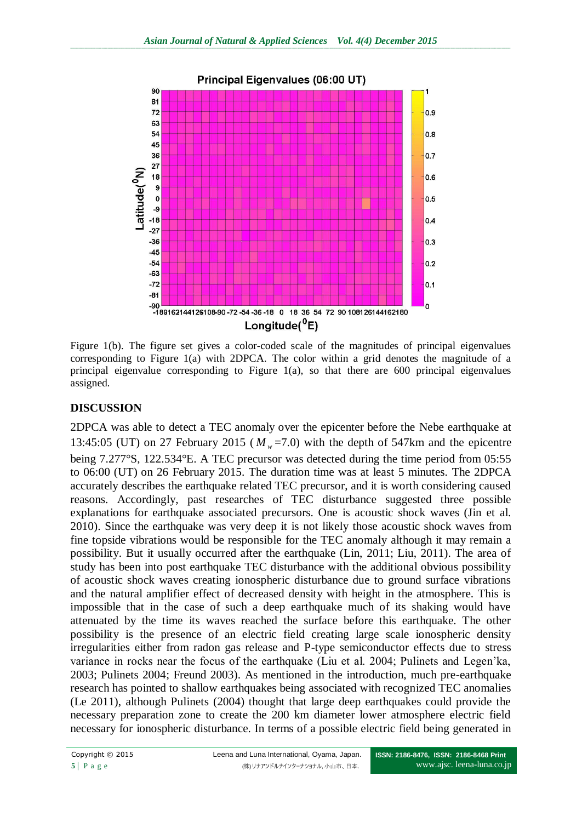

Figure 1(b). The figure set gives a color-coded scale of the magnitudes of principal eigenvalues corresponding to Figure 1(a) with 2DPCA. The color within a grid denotes the magnitude of a principal eigenvalue corresponding to Figure 1(a), so that there are 600 principal eigenvalues assigned.

# **DISCUSSION**

2DPCA was able to detect a TEC anomaly over the epicenter before the Nebe earthquake at 13:45:05 (UT) on 27 February 2015 ( $M<sub>w</sub>$ =7.0) with the depth of 547km and the epicentre being 7.277°S, 122.534°E. A TEC precursor was detected during the time period from 05:55 to 06:00 (UT) on 26 February 2015. The duration time was at least 5 minutes. The 2DPCA accurately describes the earthquake related TEC precursor, and it is worth considering caused reasons. Accordingly, past researches of TEC disturbance suggested three possible explanations for earthquake associated precursors. One is acoustic shock waves (Jin et al. 2010). Since the earthquake was very deep it is not likely those acoustic shock waves from fine topside vibrations would be responsible for the TEC anomaly although it may remain a possibility. But it usually occurred after the earthquake (Lin, 2011; Liu, 2011). The area of study has been into post earthquake TEC disturbance with the additional obvious possibility of acoustic shock waves creating ionospheric disturbance due to ground surface vibrations and the natural amplifier effect of decreased density with height in the atmosphere. This is impossible that in the case of such a deep earthquake much of its shaking would have attenuated by the time its waves reached the surface before this earthquake. The other possibility is the presence of an electric field creating large scale ionospheric density irregularities either from radon gas release and P-type semiconductor effects due to stress variance in rocks near the focus of the earthquake (Liu et al. 2004; Pulinets and Legen'ka, 2003; Pulinets 2004; Freund 2003). As mentioned in the introduction, much pre-earthquake research has pointed to shallow earthquakes being associated with recognized TEC anomalies (Le 2011), although Pulinets (2004) thought that large deep earthquakes could provide the necessary preparation zone to create the 200 km diameter lower atmosphere electric field necessary for ionospheric disturbance. In terms of a possible electric field being generated in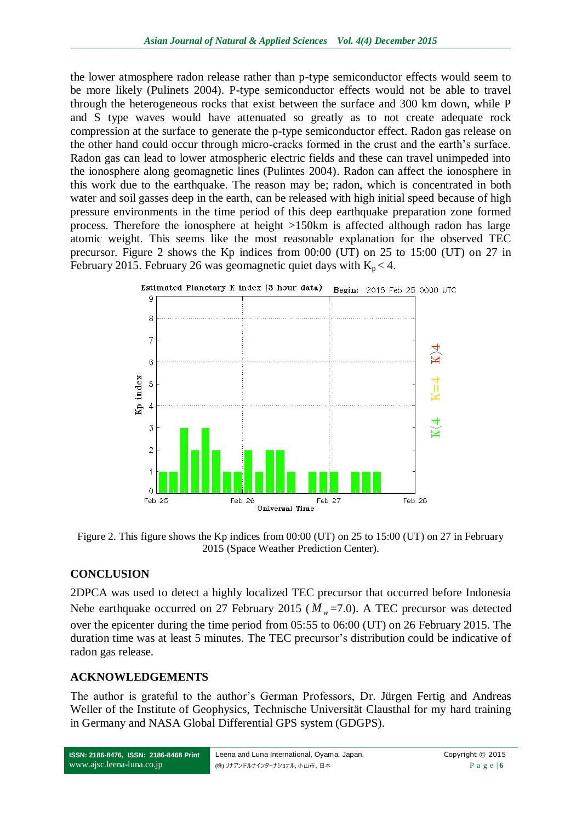the lower atmosphere radon release rather than p-type semiconductor effects would seem to be more likely (Pulinets 2004). P-type semiconductor effects would not be able to travel through the heterogeneous rocks that exist between the surface and 300 km down, while P and S type waves would have attenuated so greatly as to not create adequate rock compression at the surface to generate the p-type semiconductor effect. Radon gas release on the other hand could occur through micro-cracks formed in the crust and the earth's surface. Radon gas can lead to lower atmospheric electric fields and these can travel unimpeded into the ionosphere along geomagnetic lines (Pulintes 2004). Radon can affect the ionosphere in this work due to the earthquake. The reason may be; radon, which is concentrated in both water and soil gasses deep in the earth, can be released with high initial speed because of high pressure environments in the time period of this deep earthquake preparation zone formed process. Therefore the ionosphere at height >150km is affected although radon has large atomic weight. This seems like the most reasonable explanation for the observed TEC precursor. Figure 2 shows the Kp indices from 00:00 (UT) on 25 to 15:00 (UT) on 27 in February 2015. February 26 was geomagnetic quiet days with  $K_p < 4$ .



Figure 2. This figure shows the Kp indices from 00:00 (UT) on 25 to 15:00 (UT) on 27 in February 2015 (Space Weather Prediction Center).

### **CONCLUSION**

2DPCA was used to detect a highly localized TEC precursor that occurred before Indonesia Nebe earthquake occurred on 27 February 2015 ( $M<sub>w</sub>$ =7.0). A TEC precursor was detected over the epicenter during the time period from 05:55 to 06:00 (UT) on 26 February 2015. The duration time was at least 5 minutes. The TEC precursor's distribution could be indicative of radon gas release.

# **ACKNOWLEDGEMENTS**

The author is grateful to the author's German Professors, Dr. [Jürgen Fertig](http://www.ifg.tu-clausthal.de/staff/stafffertig.html) and [Andreas](http://home.tu-clausthal.de/~pgawe)  [Weller](http://home.tu-clausthal.de/~pgawe) of the Institute of Geophysics, Technische Universität Clausthal for my hard training in Germany and NASA Global Differential GPS system (GDGPS).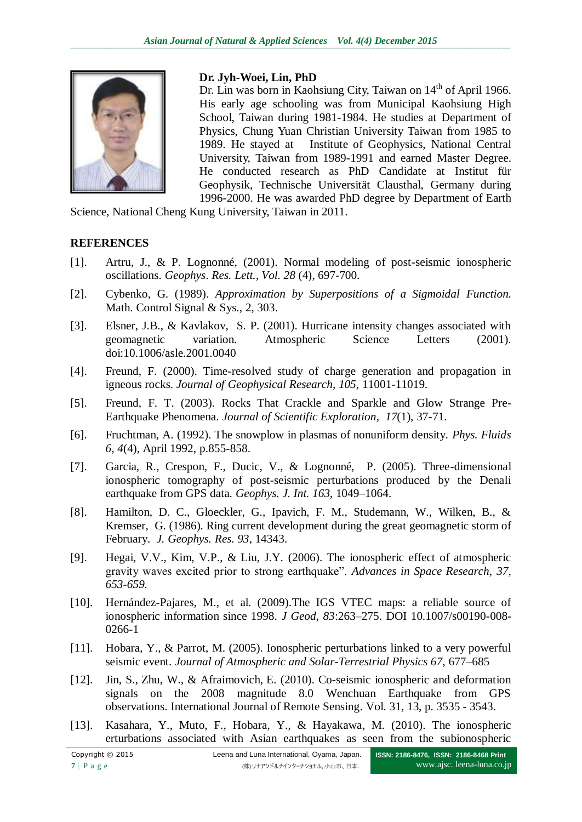

### **Dr. Jyh-Woei, Lin, PhD**

Dr. Lin was born in Kaohsiung City, Taiwan on 14<sup>th</sup> of April 1966. His early age schooling was from Municipal Kaohsiung High School, Taiwan during 1981-1984. He studies at Department of Physics, Chung Yuan Christian University Taiwan from 1985 to 1989. He stayed at Institute of Geophysics, National Central University, Taiwan from 1989-1991 and earned Master Degree. He conducted research as PhD Candidate at Institut für Geophysik, Technische Universität Clausthal, Germany during 1996-2000. He was awarded PhD degree by Department of Earth

Science, National Cheng Kung University, Taiwan in 2011.

### **REFERENCES**

- [1]. Artru, J., & P. Lognonné, (2001). Normal modeling of post-seismic ionospheric oscillations. *Geophys*. *Res. Lett., Vol. 28* (4), 697-700.
- [2]. Cybenko, G. (1989). *Approximation by Superpositions of a Sigmoidal Function.* Math. Control Signal & Sys., 2, 303.
- [3]. Elsner, J.B., & Kavlakov, S. P. (2001). Hurricane intensity changes associated with geomagnetic variation. Atmospheric Science Letters (2001). doi:10.1006/asle.2001.0040
- [4]. Freund, F. (2000). Time-resolved study of charge generation and propagation in igneous rocks. *Journal of Geophysical Research, 105,* 11001-11019.
- [5]. Freund, F. T. (2003). Rocks That Crackle and Sparkle and Glow Strange Pre-Earthquake Phenomena. *Journal of Scientific Exploration, 17*(1), 37-71.
- [6]. Fruchtman, A. (1992). The snowplow in plasmas of nonuniform density. *Phys. Fluids 6, 4*(4), April 1992, p.855-858.
- [7]. Garcia, R., Crespon, F., Ducic, V., & Lognonné, P. (2005). Three-dimensional ionospheric tomography of post-seismic perturbations produced by the Denali earthquake from GPS data. *Geophys. J. Int. 163,* 1049–1064.
- [8]. Hamilton, D. C., Gloeckler, G., Ipavich, F. M., Studemann, W., Wilken, B., & Kremser, G. (1986). Ring current development during the great geomagnetic storm of February. *J. Geophys. Res. 93*, 14343.
- [9]. Hegai, V.V., Kim, V.P., & Liu, J.Y. (2006). The ionospheric effect of atmospheric gravity waves excited prior to strong earthquake". *Advances in Space Research, 37, 653-659.*
- [10]. Hernández-Pajares, M., et al. (2009).The IGS VTEC maps: a reliable source of ionospheric information since 1998. *J Geod, 83*:263–275. DOI 10.1007/s00190-008- 0266-1
- [11]. Hobara, Y., & Parrot, M. (2005). Ionospheric perturbations linked to a very powerful seismic event*. Journal of Atmospheric and Solar-Terrestrial Physics 67*, 677–685
- [12]. Jin, S., Zhu, W., & Afraimovich, E. (2010). Co-seismic ionospheric and deformation signals on the 2008 magnitude 8.0 Wenchuan Earthquake from GPS observations. International Journal of Remote Sensing. Vol. 31, 13, p. 3535 - 3543.
- [13]. Kasahara, Y., Muto, F., Hobara, Y., & Hayakawa, M. (2010). The ionospheric erturbations associated with Asian earthquakes as seen from the subionospheric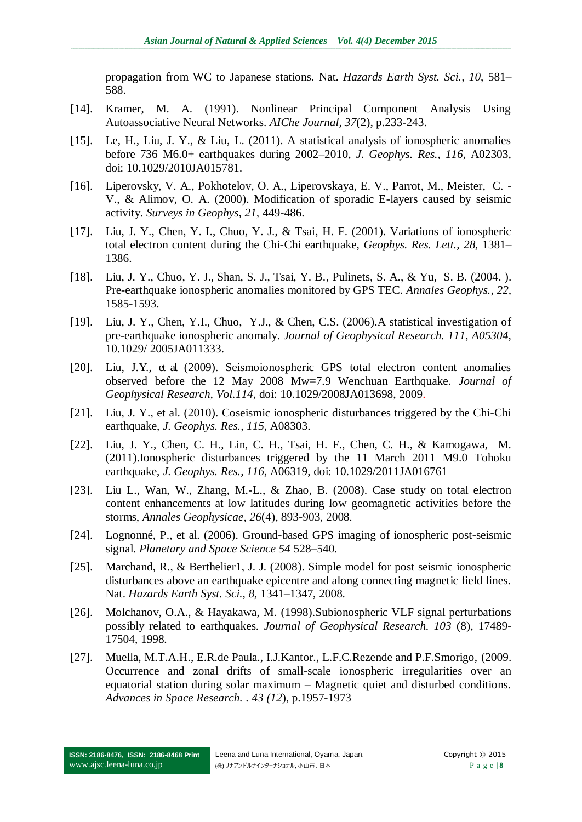propagation from WC to Japanese stations. Nat. *Hazards Earth Syst. Sci., 10*, 581– 588.

- [14]. Kramer, M. A. (1991). Nonlinear Principal Component Analysis Using Autoassociative Neural Networks. *AIChe Journal, 37*(2), p.233-243.
- [15]. Le, H., Liu, J. Y., & Liu, L. (2011). A statistical analysis of ionospheric anomalies before 736 M6.0+ earthquakes during 2002–2010, *J. Geophys. Res., 116,* A02303, doi: 10.1029/2010JA015781.
- [16]. Liperovsky, V. A., Pokhotelov, O. A., Liperovskaya, E. V., Parrot, M., Meister, C. V., & Alimov, O. A. (2000). Modification of sporadic E-layers caused by seismic activity. *Surveys in Geophys, 21,* 449-486.
- [17]. Liu, J. Y., Chen, Y. I., Chuo, Y. J., & Tsai, H. F. (2001). Variations of ionospheric total electron content during the Chi-Chi earthquake, *Geophys. Res. Lett., 28,* 1381– 1386.
- [18]. Liu, J. Y., Chuo, Y. J., Shan, S. J., Tsai, Y. B., Pulinets, S. A., & Yu, S. B. (2004. ). Pre-earthquake ionospheric anomalies monitored by GPS TEC. *Annales Geophys., 22,* 1585-1593.
- [19]. Liu, J. Y., Chen, Y.I., Chuo, Y.J., & Chen, C.S. (2006).A statistical investigation of pre-earthquake ionospheric anomaly. *Journal of Geophysical Research. 111, A05304,* 10.1029/ 2005JA011333.
- [20]. Liu, J.Y., et al. (2009). Seismoionospheric GPS total electron content anomalies observed before the 12 May 2008 Mw=7.9 Wenchuan Earthquake. *Journal of Geophysical Research, Vol.114*, doi: 10.1029/2008JA013698, 2009.
- [21]. Liu, J. Y., et al. (2010). Coseismic ionospheric disturbances triggered by the Chi-Chi earthquake, *J. Geophys. Res., 115,* A08303.
- [22]. Liu, J. Y., Chen, C. H., Lin, C. H., Tsai, H. F., Chen, C. H., & Kamogawa, M. (2011).Ionospheric disturbances triggered by the 11 March 2011 M9.0 Tohoku earthquake, *J. Geophys. Res., 116*, A06319, doi: 10.1029/2011JA016761
- [23]. Liu L., Wan, W., Zhang, M.-L., & Zhao, B. (2008). Case study on total electron content enhancements at low latitudes during low geomagnetic activities before the storms, *Annales Geophysicae, 26*(4), 893-903, 2008.
- [24]. Lognonné, P., et al. (2006). Ground-based GPS imaging of ionospheric post-seismic signal. *Planetary and Space Science 54* 528–540.
- [25]. Marchand, R., & Berthelier1, J. J. (2008). Simple model for post seismic ionospheric disturbances above an earthquake epicentre and along connecting magnetic field lines. Nat. *Hazards Earth Syst. Sci., 8,* 1341–1347, 2008.
- [26]. Molchanov, O.A., & Hayakawa, M. (1998).Subionospheric VLF signal perturbations possibly related to earthquakes. *Journal of Geophysical Research. 103* (8), 17489- 17504, 1998.
- [27]. Muella, M.T.A.H., E.R.de Paula., I.J.Kantor., L.F.C.Rezende and P.F.Smorigo, (2009. Occurrence and zonal drifts of small-scale ionospheric irregularities over an equatorial station during solar maximum – Magnetic quiet and disturbed conditions. *[Advances in Space Research.](http://www.sciencedirect.com/science/journal/02731177) . [43 \(12](http://www.sciencedirect.com/science?_ob=PublicationURL&_tockey=%23TOC%235738%232009%23999569987%231107116%23FLA%23&_cdi=5738&_pubType=J&view=c&_auth=y&_acct=C000050221&_version=1&_urlVersion=0&_userid=10&md5=f405c3ca292635cf1daedc2924634990)*), p.1957-1973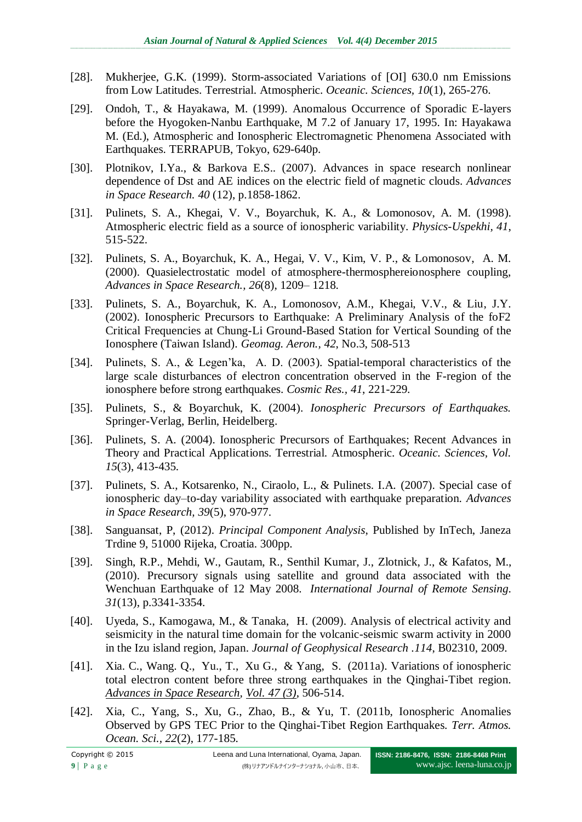- [28]. Mukherjee, G.K. (1999). Storm-associated Variations of [OI] 630.0 nm Emissions from Low Latitudes. Terrestrial. Atmospheric. *Oceanic. Sciences, 10*(1), 265-276.
- [29]. Ondoh, T., & Hayakawa, M. (1999). Anomalous Occurrence of Sporadic E-layers before the Hyogoken-Nanbu Earthquake, M 7.2 of January 17, 1995. In: Hayakawa M. (Ed.), Atmospheric and Ionospheric Electromagnetic Phenomena Associated with Earthquakes. TERRAPUB, Tokyo, 629-640p.
- [30]. Plotnikov, I.Ya., & Barkova E.S.. (2007). Advances in space research nonlinear dependence of Dst and AE indices on the electric field of magnetic clouds. *[Advances](http://www.sciencedirect.com/science/journal/02731177)  [in Space Research.](http://www.sciencedirect.com/science/journal/02731177) 40* (12), p.1858-1862.
- [31]. Pulinets, S. A., Khegai, V. V., Boyarchuk, K. A., & Lomonosov, A. M. (1998). Atmospheric electric field as a source of ionospheric variability. *Physics-Uspekhi, 41*, 515-522.
- [32]. Pulinets, S. A., Boyarchuk, K. A., Hegai, V. V., Kim, V. P., & Lomonosov, A. M. (2000). Quasielectrostatic model of atmosphere-thermosphereionosphere coupling, *Advances in Space Research., 26*(8), 1209– 1218.
- [33]. Pulinets, S. A., Boyarchuk, K. A., Lomonosov, A.M., Khegai, V.V., & Liu, J.Y. (2002). Ionospheric Precursors to Earthquake: A Preliminary Analysis of the foF2 Critical Frequencies at Chung-Li Ground-Based Station for Vertical Sounding of the Ionosphere (Taiwan Island). *Geomag. Aeron., 42*, No.3, 508-513
- [34]. Pulinets, S. A., & Legen'ka, A. D. (2003). Spatial-temporal characteristics of the large scale disturbances of electron concentration observed in the F-region of the ionosphere before strong earthquakes. *Cosmic Res., 41*, 221-229.
- [35]. Pulinets, S., & Boyarchuk, K. (2004). *Ionospheric Precursors of Earthquakes.* Springer-Verlag, Berlin, Heidelberg.
- [36]. Pulinets, S. A. (2004). Ionospheric Precursors of Earthquakes; Recent Advances in Theory and Practical Applications. Terrestrial. Atmospheric. *Oceanic. Sciences, Vol. 15*(3), 413-435.
- [37]. Pulinets, S. A., Kotsarenko, N., Ciraolo, L., & Pulinets. I.A. (2007). Special case of ionospheric day–to-day variability associated with earthquake preparation. *Advances in Space Research, 39*(5), 970-977.
- [38]. Sanguansat, P, (2012). *Principal Component Analysis*, Published by InTech, Janeza Trdine 9, 51000 Rijeka, Croatia. 300pp.
- [39]. Singh, R.P., Mehdi, W., Gautam, R., Senthil Kumar, J., Zlotnick, J., & Kafatos, M., (2010). Precursory signals using satellite and ground data associated with the Wenchuan Earthquake of 12 May 2008*. International Journal of Remote Sensing. 31*(13), p.3341-3354.
- [40]. Uyeda, S., Kamogawa, M., & Tanaka, H. (2009). Analysis of electrical activity and seismicity in the natural time domain for the volcanic-seismic swarm activity in 2000 in the Izu island region, Japan. *Journal of Geophysical Research .114*, B02310, 2009.
- [41]. Xia. C., Wang. Q., Yu., T., Xu G., & Yang, S. (2011a). Variations of ionospheric total electron content before three strong earthquakes in the Qinghai-Tibet region. *[Advances in Space Research,](http://www.sciencedirect.com/science/journal/02731177) [Vol. 47](http://www.sciencedirect.com/science?_ob=PublicationURL&_hubEid=1-s2.0-S0273117711X00029&_cid=271642&_pubType=JL&view=c&_auth=y&_acct=C000228598&_version=1&_urlVersion=0&_userid=10&md5=da0b6af727db91e321879bb71eafce6c) (3)*, 506-514.
- [42]. Xia, C., Yang, S., Xu, G., Zhao, B., & Yu, T. (2011b, Ionospheric Anomalies Observed by GPS TEC Prior to the Qinghai-Tibet Region Earthquakes*. Terr. Atmos. Ocean. Sci., 22*(2), 177-185.